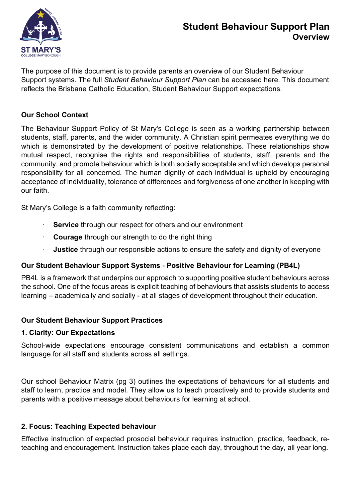

# **Student Behaviour Support Plan Overview**

The purpose of this document is to provide parents an overview of our Student Behaviour Support systems. The full *[Student Behaviour Support Plan](http://www.smcm.qld.edu.au/Policies-%26-Procedures/PublishingImages/Pages/default/2021%20Student%20Behaviour%20Support%20Plan.pdf)* can be accessed here. This document reflects the Brisbane Catholic Education, Student Behaviour Support expectations.

### **Our School Context**

The Behaviour Support Policy of St Mary's College is seen as a working partnership between students, staff, parents, and the wider community. A Christian spirit permeates everything we do which is demonstrated by the development of positive relationships. These relationships show mutual respect, recognise the rights and responsibilities of students, staff, parents and the community, and promote behaviour which is both socially acceptable and which develops personal responsibility for all concerned. The human dignity of each individual is upheld by encouraging acceptance of individuality, tolerance of differences and forgiveness of one another in keeping with our faith.

St Mary's College is a faith community reflecting:

- **Service** through our respect for others and our environment
- **Courage** through our strength to do the right thing
- **Justice** through our responsible actions to ensure the safety and dignity of everyone

# **Our Student Behaviour Support Systems** - **Positive Behaviour for Learning (PB4L)**

PB4L is a framework that underpins our approach to supporting positive student behaviours across the school. One of the focus areas is explicit teaching of behaviours that assists students to access learning – academically and socially - at all stages of development throughout their education.

# **Our Student Behaviour Support Practices**

#### **1. Clarity: Our Expectations**

School-wide expectations encourage consistent communications and establish a common language for all staff and students across all settings.

Our school Behaviour Matrix (pg 3) outlines the expectations of behaviours for all students and staff to learn, practice and model. They allow us to teach proactively and to provide students and parents with a positive message about behaviours for learning at school.

#### **2. Focus: Teaching Expected behaviour**

Effective instruction of expected prosocial behaviour requires instruction, practice, feedback, reteaching and encouragement. Instruction takes place each day, throughout the day, all year long.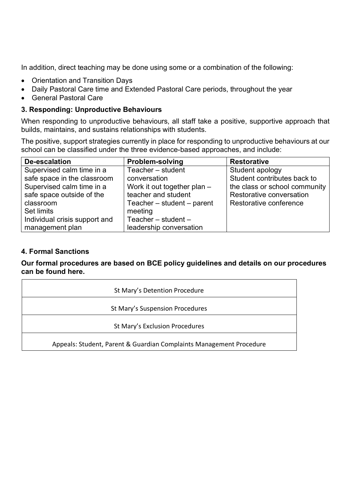In addition, direct teaching may be done using some or a combination of the following:

- Orientation and Transition Days
- Daily Pastoral Care time and Extended Pastoral Care periods, throughout the year
- General Pastoral Care

#### **3. Responding: Unproductive Behaviours**

When responding to unproductive behaviours, all staff take a positive, supportive approach that builds, maintains, and sustains relationships with students.

The positive, support strategies currently in place for responding to unproductive behaviours at our school can be classified under the three evidence-based approaches, and include:

| De-escalation                 | <b>Problem-solving</b>         | <b>Restorative</b>            |
|-------------------------------|--------------------------------|-------------------------------|
| Supervised calm time in a     | Teacher – student              | Student apology               |
| safe space in the classroom   | conversation                   | Student contributes back to   |
| Supervised calm time in a     | Work it out together plan $-$  | the class or school community |
| safe space outside of the     | teacher and student            | Restorative conversation      |
| classroom                     | Teacher $-$ student $-$ parent | Restorative conference        |
| Set limits                    | meeting                        |                               |
| Individual crisis support and | Teacher $-$ student $-$        |                               |
| management plan               | leadership conversation        |                               |

#### **4. Formal Sanctions**

#### **Our formal procedures are based on BCE policy guidelines and details on our procedures can be found here.**

| St Mary's Detention Procedure                                       |  |  |  |  |
|---------------------------------------------------------------------|--|--|--|--|
| St Mary's Suspension Procedures                                     |  |  |  |  |
| St Mary's Exclusion Procedures                                      |  |  |  |  |
| Appeals: Student, Parent & Guardian Complaints Management Procedure |  |  |  |  |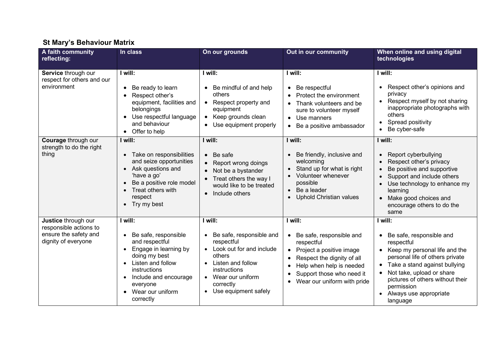# **St Mary's Behaviour Matrix**

| A faith community<br>reflecting:                                                              | In class                                                                                                                                                                                               | On our grounds                                                                                                                                                                                                                            | Out in our community                                                                                                                                                                                                                                                              | When online and using digital<br>technologies                                                                                                                                                                                                                                                                                |
|-----------------------------------------------------------------------------------------------|--------------------------------------------------------------------------------------------------------------------------------------------------------------------------------------------------------|-------------------------------------------------------------------------------------------------------------------------------------------------------------------------------------------------------------------------------------------|-----------------------------------------------------------------------------------------------------------------------------------------------------------------------------------------------------------------------------------------------------------------------------------|------------------------------------------------------------------------------------------------------------------------------------------------------------------------------------------------------------------------------------------------------------------------------------------------------------------------------|
| Service through our<br>respect for others and our<br>environment                              | I will:<br>Be ready to learn<br>Respect other's<br>equipment, facilities and<br>belongings<br>Use respectful language<br>and behaviour<br>Offer to help                                                | I will:<br>Be mindful of and help<br>$\bullet$<br>others<br>Respect property and<br>$\bullet$<br>equipment<br>Keep grounds clean<br>$\bullet$<br>Use equipment properly<br>$\bullet$                                                      | I will:<br>Be respectful<br>$\bullet$<br>Protect the environment<br>Thank volunteers and be<br>sure to volunteer myself<br>Use manners<br>$\bullet$<br>Be a positive ambassador<br>$\bullet$                                                                                      | I will:<br>Respect other's opinions and<br>$\bullet$<br>privacy<br>Respect myself by not sharing<br>$\bullet$<br>inappropriate photographs with<br>others<br>Spread positivity<br>$\bullet$<br>Be cyber-safe<br>$\bullet$                                                                                                    |
| Courage through our<br>strength to do the right<br>thing                                      | I will:<br>Take on responsibilities<br>and seize opportunities<br>Ask questions and<br>'have a go'<br>Be a positive role model<br>Treat others with<br>respect<br>Try my best                          | I will:<br>Be safe<br>$\bullet$<br>Report wrong doings<br>Not be a bystander<br>$\bullet$<br>Treat others the way I<br>would like to be treated<br>Include others<br>$\bullet$                                                            | I will:<br>Be friendly, inclusive and<br>welcoming<br>Stand up for what is right<br>Volunteer whenever<br>possible<br>Be a leader<br>$\bullet$<br><b>Uphold Christian values</b><br>$\bullet$                                                                                     | I will:<br>Report cyberbullying<br>$\bullet$<br>Respect other's privacy<br>Be positive and supportive<br>Support and include others<br>Use technology to enhance my<br>$\bullet$<br>learning<br>Make good choices and<br>$\bullet$<br>encourage others to do the<br>same                                                     |
| Justice through our<br>responsible actions to<br>ensure the safety and<br>dignity of everyone | I will:<br>Be safe, responsible<br>and respectful<br>Engage in learning by<br>doing my best<br>Listen and follow<br>instructions<br>Include and encourage<br>everyone<br>Wear our uniform<br>correctly | I will:<br>Be safe, responsible and<br>$\bullet$<br>respectful<br>Look out for and include<br>$\bullet$<br>others<br>Listen and follow<br>instructions<br>Wear our uniform<br>$\bullet$<br>correctly<br>Use equipment safely<br>$\bullet$ | I will:<br>Be safe, responsible and<br>$\bullet$<br>respectful<br>Project a positive image<br>$\bullet$<br>Respect the dignity of all<br>$\bullet$<br>Help when help is needed<br>$\bullet$<br>Support those who need it<br>$\bullet$<br>Wear our uniform with pride<br>$\bullet$ | I will:<br>Be safe, responsible and<br>٠<br>respectful<br>Keep my personal life and the<br>$\bullet$<br>personal life of others private<br>Take a stand against bullying<br>٠<br>Not take, upload or share<br>$\bullet$<br>pictures of others without their<br>permission<br>Always use appropriate<br>$\bullet$<br>language |